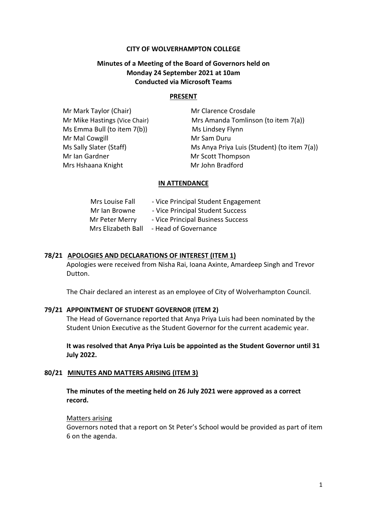### **CITY OF WOLVERHAMPTON COLLEGE**

# **Minutes of a Meeting of the Board of Governors held on Monday 24 September 2021 at 10am Conducted via Microsoft Teams**

#### **PRESENT**

**Mr Mark Taylor (Chair) Mr Clarence Crosdale** Mr Mike Hastings (Vice Chair) Mrs Amanda Tomlinson (to item 7(a)) Ms Emma Bull (to item 7(b)) Ms Lindsey Flynn Mr Mal Cowgill Mr Sam Duru Ms Sally Slater (Staff) Ms Anya Priya Luis (Student) (to item 7(a)) Mr Ian Gardner Mr Scott Thompson Mrs Hshaana Knight Mr John Bradford

#### **IN ATTENDANCE**

| Mrs Louise Fall    | - Vice Principal Student Engagement |
|--------------------|-------------------------------------|
| Mr Ian Browne      | - Vice Principal Student Success    |
| Mr Peter Merry     | - Vice Principal Business Success   |
| Mrs Elizabeth Ball | - Head of Governance                |

#### **78/21 APOLOGIES AND DECLARATIONS OF INTEREST (ITEM 1)**

Apologies were received from Nisha Rai, Ioana Axinte, Amardeep Singh and Trevor Dutton.

The Chair declared an interest as an employee of City of Wolverhampton Council.

#### **79/21 APPOINTMENT OF STUDENT GOVERNOR (ITEM 2)**

The Head of Governance reported that Anya Priya Luis had been nominated by the Student Union Executive as the Student Governor for the current academic year.

**It was resolved that Anya Priya Luis be appointed as the Student Governor until 31 July 2022.**

#### **80/21 MINUTES AND MATTERS ARISING (ITEM 3)**

**The minutes of the meeting held on 26 July 2021 were approved as a correct record.**

#### Matters arising

Governors noted that a report on St Peter's School would be provided as part of item 6 on the agenda.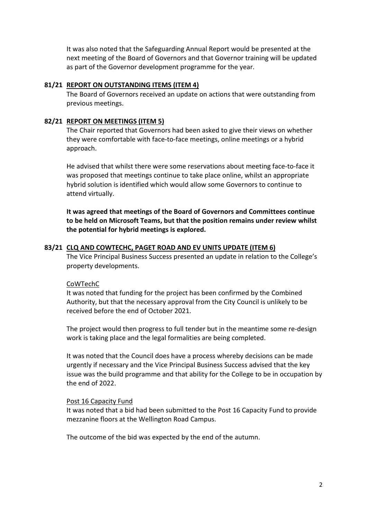It was also noted that the Safeguarding Annual Report would be presented at the next meeting of the Board of Governors and that Governor training will be updated as part of the Governor development programme for the year.

### **81/21 REPORT ON OUTSTANDING ITEMS (ITEM 4)**

The Board of Governors received an update on actions that were outstanding from previous meetings.

### **82/21 REPORT ON MEETINGS (ITEM 5)**

The Chair reported that Governors had been asked to give their views on whether they were comfortable with face-to-face meetings, online meetings or a hybrid approach.

He advised that whilst there were some reservations about meeting face-to-face it was proposed that meetings continue to take place online, whilst an appropriate hybrid solution is identified which would allow some Governors to continue to attend virtually.

**It was agreed that meetings of the Board of Governors and Committees continue to be held on Microsoft Teams, but that the position remains under review whilst the potential for hybrid meetings is explored.**

### **83/21 CLQ AND COWTECHC, PAGET ROAD AND EV UNITS UPDATE (ITEM 6)**

The Vice Principal Business Success presented an update in relation to the College's property developments.

### CoWTechC

It was noted that funding for the project has been confirmed by the Combined Authority, but that the necessary approval from the City Council is unlikely to be received before the end of October 2021.

The project would then progress to full tender but in the meantime some re-design work is taking place and the legal formalities are being completed.

It was noted that the Council does have a process whereby decisions can be made urgently if necessary and the Vice Principal Business Success advised that the key issue was the build programme and that ability for the College to be in occupation by the end of 2022.

#### Post 16 Capacity Fund

It was noted that a bid had been submitted to the Post 16 Capacity Fund to provide mezzanine floors at the Wellington Road Campus.

The outcome of the bid was expected by the end of the autumn.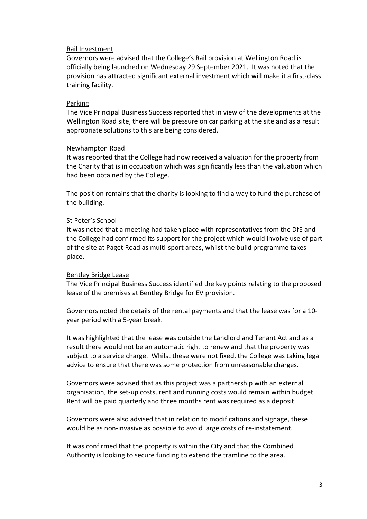### Rail Investment

Governors were advised that the College's Rail provision at Wellington Road is officially being launched on Wednesday 29 September 2021. It was noted that the provision has attracted significant external investment which will make it a first-class training facility.

### Parking

The Vice Principal Business Success reported that in view of the developments at the Wellington Road site, there will be pressure on car parking at the site and as a result appropriate solutions to this are being considered.

### Newhampton Road

It was reported that the College had now received a valuation for the property from the Charity that is in occupation which was significantly less than the valuation which had been obtained by the College.

The position remains that the charity is looking to find a way to fund the purchase of the building.

### St Peter's School

It was noted that a meeting had taken place with representatives from the DfE and the College had confirmed its support for the project which would involve use of part of the site at Paget Road as multi-sport areas, whilst the build programme takes place.

#### Bentley Bridge Lease

The Vice Principal Business Success identified the key points relating to the proposed lease of the premises at Bentley Bridge for EV provision.

Governors noted the details of the rental payments and that the lease was for a 10 year period with a 5-year break.

It was highlighted that the lease was outside the Landlord and Tenant Act and as a result there would not be an automatic right to renew and that the property was subject to a service charge. Whilst these were not fixed, the College was taking legal advice to ensure that there was some protection from unreasonable charges.

Governors were advised that as this project was a partnership with an external organisation, the set-up costs, rent and running costs would remain within budget. Rent will be paid quarterly and three months rent was required as a deposit.

Governors were also advised that in relation to modifications and signage, these would be as non-invasive as possible to avoid large costs of re-instatement.

It was confirmed that the property is within the City and that the Combined Authority is looking to secure funding to extend the tramline to the area.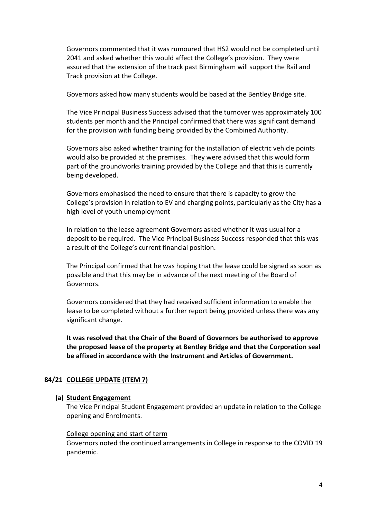Governors commented that it was rumoured that HS2 would not be completed until 2041 and asked whether this would affect the College's provision. They were assured that the extension of the track past Birmingham will support the Rail and Track provision at the College.

Governors asked how many students would be based at the Bentley Bridge site.

The Vice Principal Business Success advised that the turnover was approximately 100 students per month and the Principal confirmed that there was significant demand for the provision with funding being provided by the Combined Authority.

Governors also asked whether training for the installation of electric vehicle points would also be provided at the premises. They were advised that this would form part of the groundworks training provided by the College and that this is currently being developed.

Governors emphasised the need to ensure that there is capacity to grow the College's provision in relation to EV and charging points, particularly as the City has a high level of youth unemployment

In relation to the lease agreement Governors asked whether it was usual for a deposit to be required. The Vice Principal Business Success responded that this was a result of the College's current financial position.

The Principal confirmed that he was hoping that the lease could be signed as soon as possible and that this may be in advance of the next meeting of the Board of Governors.

Governors considered that they had received sufficient information to enable the lease to be completed without a further report being provided unless there was any significant change.

**It was resolved that the Chair of the Board of Governors be authorised to approve the proposed lease of the property at Bentley Bridge and that the Corporation seal be affixed in accordance with the Instrument and Articles of Government.**

### **84/21 COLLEGE UPDATE (ITEM 7)**

#### **(a) Student Engagement**

The Vice Principal Student Engagement provided an update in relation to the College opening and Enrolments.

#### College opening and start of term

Governors noted the continued arrangements in College in response to the COVID 19 pandemic.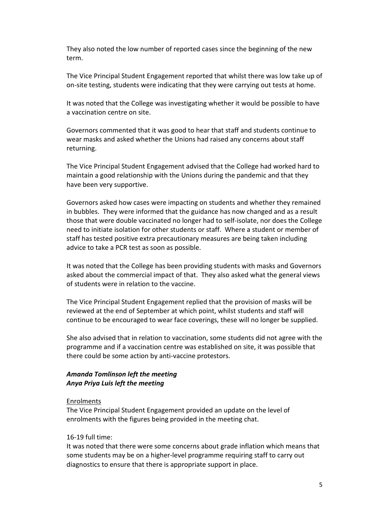They also noted the low number of reported cases since the beginning of the new term.

The Vice Principal Student Engagement reported that whilst there was low take up of on-site testing, students were indicating that they were carrying out tests at home.

It was noted that the College was investigating whether it would be possible to have a vaccination centre on site.

Governors commented that it was good to hear that staff and students continue to wear masks and asked whether the Unions had raised any concerns about staff returning.

The Vice Principal Student Engagement advised that the College had worked hard to maintain a good relationship with the Unions during the pandemic and that they have been very supportive.

Governors asked how cases were impacting on students and whether they remained in bubbles. They were informed that the guidance has now changed and as a result those that were double vaccinated no longer had to self-isolate, nor does the College need to initiate isolation for other students or staff. Where a student or member of staff has tested positive extra precautionary measures are being taken including advice to take a PCR test as soon as possible.

It was noted that the College has been providing students with masks and Governors asked about the commercial impact of that. They also asked what the general views of students were in relation to the vaccine.

The Vice Principal Student Engagement replied that the provision of masks will be reviewed at the end of September at which point, whilst students and staff will continue to be encouraged to wear face coverings, these will no longer be supplied.

She also advised that in relation to vaccination, some students did not agree with the programme and if a vaccination centre was established on site, it was possible that there could be some action by anti-vaccine protestors.

### *Amanda Tomlinson left the meeting Anya Priya Luis left the meeting*

#### Enrolments

The Vice Principal Student Engagement provided an update on the level of enrolments with the figures being provided in the meeting chat.

#### 16-19 full time:

It was noted that there were some concerns about grade inflation which means that some students may be on a higher-level programme requiring staff to carry out diagnostics to ensure that there is appropriate support in place.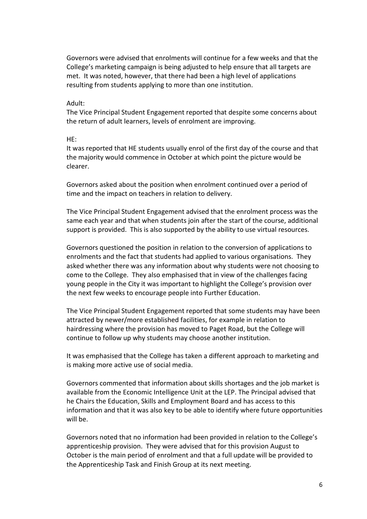Governors were advised that enrolments will continue for a few weeks and that the College's marketing campaign is being adjusted to help ensure that all targets are met. It was noted, however, that there had been a high level of applications resulting from students applying to more than one institution.

#### Adult:

The Vice Principal Student Engagement reported that despite some concerns about the return of adult learners, levels of enrolment are improving.

#### HE:

It was reported that HE students usually enrol of the first day of the course and that the majority would commence in October at which point the picture would be clearer.

Governors asked about the position when enrolment continued over a period of time and the impact on teachers in relation to delivery.

The Vice Principal Student Engagement advised that the enrolment process was the same each year and that when students join after the start of the course, additional support is provided. This is also supported by the ability to use virtual resources.

Governors questioned the position in relation to the conversion of applications to enrolments and the fact that students had applied to various organisations. They asked whether there was any information about why students were not choosing to come to the College. They also emphasised that in view of the challenges facing young people in the City it was important to highlight the College's provision over the next few weeks to encourage people into Further Education.

The Vice Principal Student Engagement reported that some students may have been attracted by newer/more established facilities, for example in relation to hairdressing where the provision has moved to Paget Road, but the College will continue to follow up why students may choose another institution.

It was emphasised that the College has taken a different approach to marketing and is making more active use of social media.

Governors commented that information about skills shortages and the job market is available from the Economic Intelligence Unit at the LEP. The Principal advised that he Chairs the Education, Skills and Employment Board and has access to this information and that it was also key to be able to identify where future opportunities will be.

Governors noted that no information had been provided in relation to the College's apprenticeship provision. They were advised that for this provision August to October is the main period of enrolment and that a full update will be provided to the Apprenticeship Task and Finish Group at its next meeting.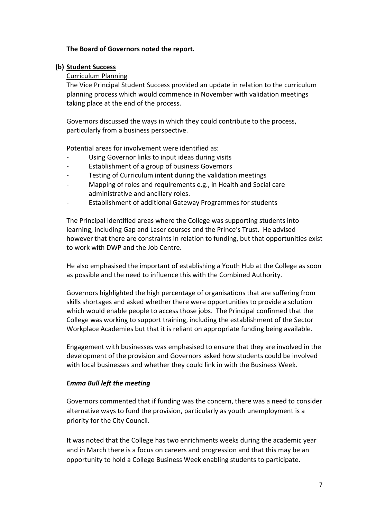# **The Board of Governors noted the report.**

### **(b) Student Success**

### Curriculum Planning

The Vice Principal Student Success provided an update in relation to the curriculum planning process which would commence in November with validation meetings taking place at the end of the process.

Governors discussed the ways in which they could contribute to the process, particularly from a business perspective.

Potential areas for involvement were identified as:

- Using Governor links to input ideas during visits
- Establishment of a group of business Governors
- Testing of Curriculum intent during the validation meetings
- Mapping of roles and requirements e.g., in Health and Social care administrative and ancillary roles.
- Establishment of additional Gateway Programmes for students

The Principal identified areas where the College was supporting students into learning, including Gap and Laser courses and the Prince's Trust. He advised however that there are constraints in relation to funding, but that opportunities exist to work with DWP and the Job Centre.

He also emphasised the important of establishing a Youth Hub at the College as soon as possible and the need to influence this with the Combined Authority.

Governors highlighted the high percentage of organisations that are suffering from skills shortages and asked whether there were opportunities to provide a solution which would enable people to access those jobs. The Principal confirmed that the College was working to support training, including the establishment of the Sector Workplace Academies but that it is reliant on appropriate funding being available.

Engagement with businesses was emphasised to ensure that they are involved in the development of the provision and Governors asked how students could be involved with local businesses and whether they could link in with the Business Week.

### *Emma Bull left the meeting*

Governors commented that if funding was the concern, there was a need to consider alternative ways to fund the provision, particularly as youth unemployment is a priority for the City Council.

It was noted that the College has two enrichments weeks during the academic year and in March there is a focus on careers and progression and that this may be an opportunity to hold a College Business Week enabling students to participate.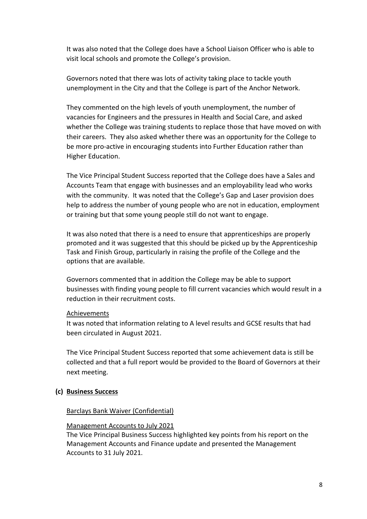It was also noted that the College does have a School Liaison Officer who is able to visit local schools and promote the College's provision.

Governors noted that there was lots of activity taking place to tackle youth unemployment in the City and that the College is part of the Anchor Network.

They commented on the high levels of youth unemployment, the number of vacancies for Engineers and the pressures in Health and Social Care, and asked whether the College was training students to replace those that have moved on with their careers. They also asked whether there was an opportunity for the College to be more pro-active in encouraging students into Further Education rather than Higher Education.

The Vice Principal Student Success reported that the College does have a Sales and Accounts Team that engage with businesses and an employability lead who works with the community. It was noted that the College's Gap and Laser provision does help to address the number of young people who are not in education, employment or training but that some young people still do not want to engage.

It was also noted that there is a need to ensure that apprenticeships are properly promoted and it was suggested that this should be picked up by the Apprenticeship Task and Finish Group, particularly in raising the profile of the College and the options that are available.

Governors commented that in addition the College may be able to support businesses with finding young people to fill current vacancies which would result in a reduction in their recruitment costs.

### Achievements

It was noted that information relating to A level results and GCSE results that had been circulated in August 2021.

The Vice Principal Student Success reported that some achievement data is still be collected and that a full report would be provided to the Board of Governors at their next meeting.

### **(c) Business Success**

### Barclays Bank Waiver (Confidential)

#### Management Accounts to July 2021

The Vice Principal Business Success highlighted key points from his report on the Management Accounts and Finance update and presented the Management Accounts to 31 July 2021.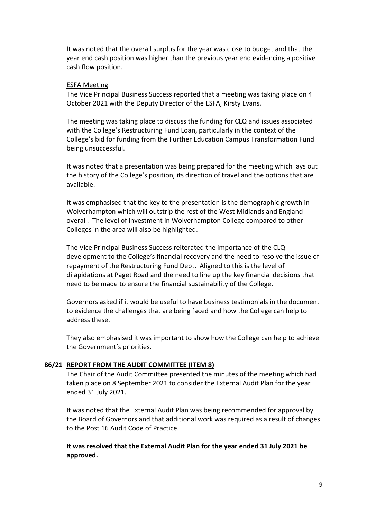It was noted that the overall surplus for the year was close to budget and that the year end cash position was higher than the previous year end evidencing a positive cash flow position.

#### ESFA Meeting

The Vice Principal Business Success reported that a meeting was taking place on 4 October 2021 with the Deputy Director of the ESFA, Kirsty Evans.

The meeting was taking place to discuss the funding for CLQ and issues associated with the College's Restructuring Fund Loan, particularly in the context of the College's bid for funding from the Further Education Campus Transformation Fund being unsuccessful.

It was noted that a presentation was being prepared for the meeting which lays out the history of the College's position, its direction of travel and the options that are available.

It was emphasised that the key to the presentation is the demographic growth in Wolverhampton which will outstrip the rest of the West Midlands and England overall. The level of investment in Wolverhampton College compared to other Colleges in the area will also be highlighted.

The Vice Principal Business Success reiterated the importance of the CLQ development to the College's financial recovery and the need to resolve the issue of repayment of the Restructuring Fund Debt. Aligned to this is the level of dilapidations at Paget Road and the need to line up the key financial decisions that need to be made to ensure the financial sustainability of the College.

Governors asked if it would be useful to have business testimonials in the document to evidence the challenges that are being faced and how the College can help to address these.

They also emphasised it was important to show how the College can help to achieve the Government's priorities.

### **86/21 REPORT FROM THE AUDIT COMMITTEE (ITEM 8)**

The Chair of the Audit Committee presented the minutes of the meeting which had taken place on 8 September 2021 to consider the External Audit Plan for the year ended 31 July 2021.

It was noted that the External Audit Plan was being recommended for approval by the Board of Governors and that additional work was required as a result of changes to the Post 16 Audit Code of Practice.

**It was resolved that the External Audit Plan for the year ended 31 July 2021 be approved.**